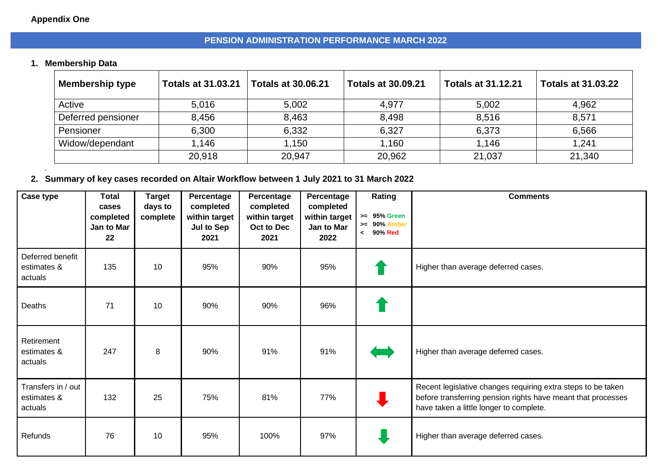## **Appendix One**

*.*

### **PENSION ADMINISTRATION PERFORMANCE MARCH 2022**

# **1. Membership Data**

| <b>Membership type</b> | <b>Totals at 31.03.21</b> | <b>Totals at 30.06.21</b> | <b>Totals at 30.09.21</b> | <b>Totals at 31.12.21</b> | <b>Totals at 31.03.22</b> |
|------------------------|---------------------------|---------------------------|---------------------------|---------------------------|---------------------------|
| Active                 | 5,016                     | 5,002                     | 4,977                     | 5,002                     | 4,962                     |
| Deferred pensioner     | 8,456                     | 8,463                     | 8,498                     | 8,516                     | 8,571                     |
| Pensioner              | 6,300                     | 6,332                     | 6,327                     | 6,373                     | 6,566                     |
| Widow/dependant        | 1.146                     | 1,150                     | 1,160                     | 1,146                     | 1,241                     |
|                        | 20,918                    | 20,947                    | 20,962                    | 21,037                    | 21,340                    |

## **2. Summary of key cases recorded on Altair Workflow between 1 July 2021 to 31 March 2022**

| Case type                                    | <b>Total</b><br>cases<br>completed<br>Jan to Mar<br>22 | <b>Target</b><br>days to<br>complete | Percentage<br>completed<br>within target<br>Jul to Sep<br>2021 | Percentage<br>completed<br>within target<br>Oct to Dec<br>2021 | Percentage<br>completed<br>within target<br>Jan to Mar<br>2022 | Rating<br>>= 95% Green<br>$>= 90\%$ Amber<br>90% Red<br>$\prec$ | <b>Comments</b>                                                                                                                                                         |
|----------------------------------------------|--------------------------------------------------------|--------------------------------------|----------------------------------------------------------------|----------------------------------------------------------------|----------------------------------------------------------------|-----------------------------------------------------------------|-------------------------------------------------------------------------------------------------------------------------------------------------------------------------|
| Deferred benefit<br>estimates &<br>actuals   | 135                                                    | 10                                   | 95%                                                            | 90%                                                            | 95%                                                            |                                                                 | Higher than average deferred cases.                                                                                                                                     |
| Deaths                                       | 71                                                     | 10                                   | 90%                                                            | 90%                                                            | 96%                                                            |                                                                 |                                                                                                                                                                         |
| Retirement<br>estimates &<br>actuals         | 247                                                    | 8                                    | 90%                                                            | 91%                                                            | 91%                                                            |                                                                 | Higher than average deferred cases.                                                                                                                                     |
| Transfers in / out<br>estimates &<br>actuals | 132                                                    | 25                                   | 75%                                                            | 81%                                                            | 77%                                                            |                                                                 | Recent legislative changes requiring extra steps to be taken<br>before transferring pension rights have meant that processes<br>have taken a little longer to complete. |
| Refunds                                      | 76                                                     | 10                                   | 95%                                                            | 100%                                                           | 97%                                                            |                                                                 | Higher than average deferred cases.                                                                                                                                     |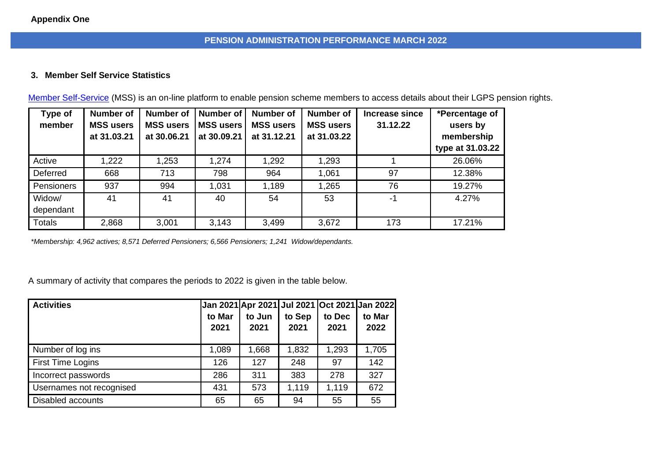## **PENSION ADMINISTRATION PERFORMANCE MARCH 2022**

### **3. Member Self Service Statistics**

| Type of       | <b>Number of</b> | <b>Number of</b> | Number of        | <b>Number of</b> | <b>Number of</b> | Increase since | *Percentage of   |  |
|---------------|------------------|------------------|------------------|------------------|------------------|----------------|------------------|--|
| member        | <b>MSS users</b> | <b>MSS users</b> | <b>MSS users</b> | <b>MSS users</b> | <b>MSS users</b> | 31.12.22       | users by         |  |
|               | at 31.03.21      | at 30.06.21      | at 30.09.21      | at 31.12.21      | at 31.03.22      |                | membership       |  |
|               |                  |                  |                  |                  |                  |                | type at 31.03.22 |  |
| Active        | 1,222            | 1,253            | 1,274            | 1,292            | 1,293            |                | 26.06%           |  |
| Deferred      | 668              | 713              | 798              | 964              | 1,061            | 97             | 12.38%           |  |
| Pensioners    | 937              | 994              | 1,031            | 1,189            | 1,265            | 76             | 19.27%           |  |
| Widow/        | 41               | 41               | 40               | 54               | 53               | $-1$           | 4.27%            |  |
| dependant     |                  |                  |                  |                  |                  |                |                  |  |
| <b>Totals</b> | 2,868            | 3,001            | 3,143            | 3,499            | 3,672            | 173            | 17.21%           |  |

[Member Self-Service](https://pensions.lambeth.gov.uk/) (MSS) is an on-line platform to enable pension scheme members to access details about their LGPS pension rights.

*\*Membership: 4,962 actives; 8,571 Deferred Pensioners; 6,566 Pensioners; 1,241 Widow/dependants.*

A summary of activity that compares the periods to 2022 is given in the table below.

| <b>Activities</b>        | to Mar<br>2021 | to Jun<br>2021 | to Sep<br>2021 | to Dec<br>2021 | Jan 2021 Apr 2021 Jul 2021 Oct 2021 Jan 2022<br>to Mar<br>2022 |
|--------------------------|----------------|----------------|----------------|----------------|----------------------------------------------------------------|
|                          |                |                |                |                |                                                                |
| Number of log ins        | 1,089          | 1,668          | 1,832          | 1,293          | 1,705                                                          |
| First Time Logins        | 126            | 127            | 248            | 97             | 142                                                            |
| Incorrect passwords      | 286            | 311            | 383            | 278            | 327                                                            |
| Usernames not recognised | 431            | 573            | 1,119          | 1,119          | 672                                                            |
| Disabled accounts        | 65             | 65             | 94             | 55             | 55                                                             |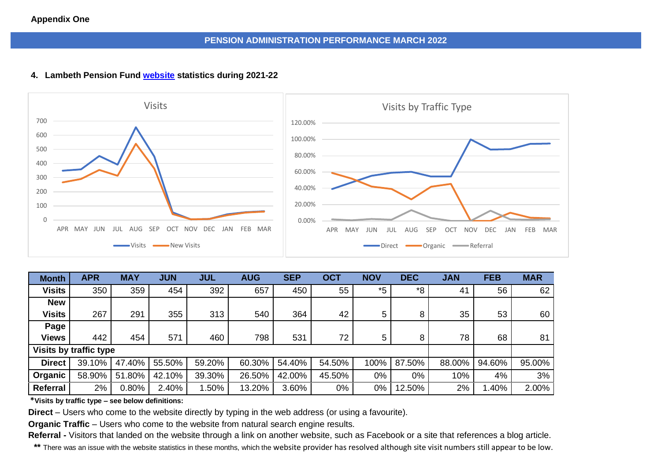#### **Appendix One**

### **PENSION ADMINISTRATION PERFORMANCE MARCH 2022**

#### **4. Lambeth Pension Fund [website](https://www.lgpslambeth.org/) statistics during 2021-22**



| <b>Month</b>           | <b>APR</b> | <b>MAY</b> | <b>JUN</b> | <b>JUL</b> | <b>AUG</b> | <b>SEP</b> | <b>OCT</b> | <b>NOV</b> | <b>DEC</b> | <b>JAN</b> | <b>FEB</b> | <b>MAR</b> |
|------------------------|------------|------------|------------|------------|------------|------------|------------|------------|------------|------------|------------|------------|
| <b>Visits</b>          | 350        | 359        | 454        | 392        | 657        | 450        | 55         | $*5$       | *8         | 41         | 56         | 62         |
| <b>New</b>             |            |            |            |            |            |            |            |            |            |            |            |            |
| <b>Visits</b>          | 267        | 291        | 355        | 313        | 540        | 364        | 42         | 5          | 8          | 35         | 53         | 60         |
| Page                   |            |            |            |            |            |            |            |            |            |            |            |            |
| <b>Views</b>           | 442        | 454        | 571        | 460        | 798        | 531        | 72         | 5          | 8          | 78         | 68         | 81         |
| Visits by traffic type |            |            |            |            |            |            |            |            |            |            |            |            |
| <b>Direct</b>          | 39.10%     | 47.40%     | 55.50%     | 59.20%     | 60.30%     | 54.40%     | 54.50%     | 100%       | 87.50%     | 88.00%     | 94.60%     | 95.00%     |
| Organic                | 58.90%     | 51.80%     | 42.10%     | 39.30%     | 26.50%     | 42.00%     | 45.50%     | $0\%$      | 0%         | 10%        | 4%         | 3%         |
| Referral               | 2%         | 0.80%      | 2.40%      | .50%       | 13.20%     | 3.60%      | 0%         | 0%         | 12.50%     | 2%         | .40%       | 2.00%      |

**\*Visits by traffic type – see below definitions:**

**Direct** – Users who come to the website directly by typing in the web address (or using a favourite).

**Organic Traffic** – Users who come to the website from natural search engine results.

**Referral -** Visitors that landed on the website through a link on another website, such as Facebook or a site that references a blog article.

**\*\*** There was an issue with the website statistics in these months, which the website provider has resolved although site visit numbers still appear to be low.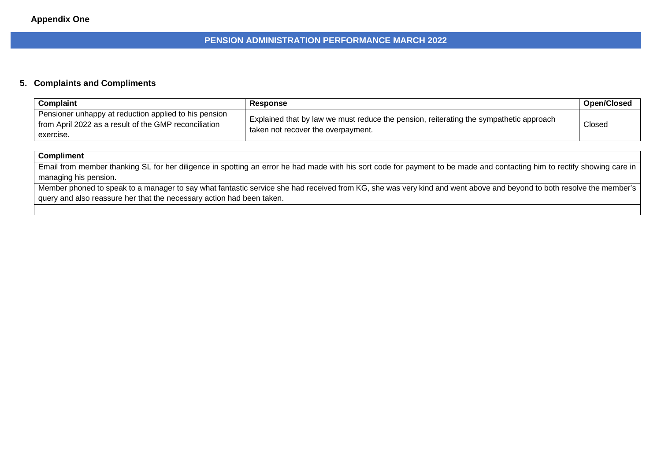#### **PENSION ADMINISTRATION PERFORMANCE MARCH 2022**

#### **5. Complaints and Compliments**

| <b>Complaint</b>                                                                                                            | Response                                                                                                                     | <b>Open/Closed</b> |
|-----------------------------------------------------------------------------------------------------------------------------|------------------------------------------------------------------------------------------------------------------------------|--------------------|
| Pensioner unhappy at reduction applied to his pension<br>from April 2022 as a result of the GMP reconciliation<br>exercise. | Explained that by law we must reduce the pension, reiterating the sympathetic approach<br>taken not recover the overpayment. | Closed             |

#### **Compliment**

Email from member thanking SL for her diligence in spotting an error he had made with his sort code for payment to be made and contacting him to rectify showing care in managing his pension.

Member phoned to speak to a manager to say what fantastic service she had received from KG, she was very kind and went above and beyond to both resolve the member's query and also reassure her that the necessary action had been taken.